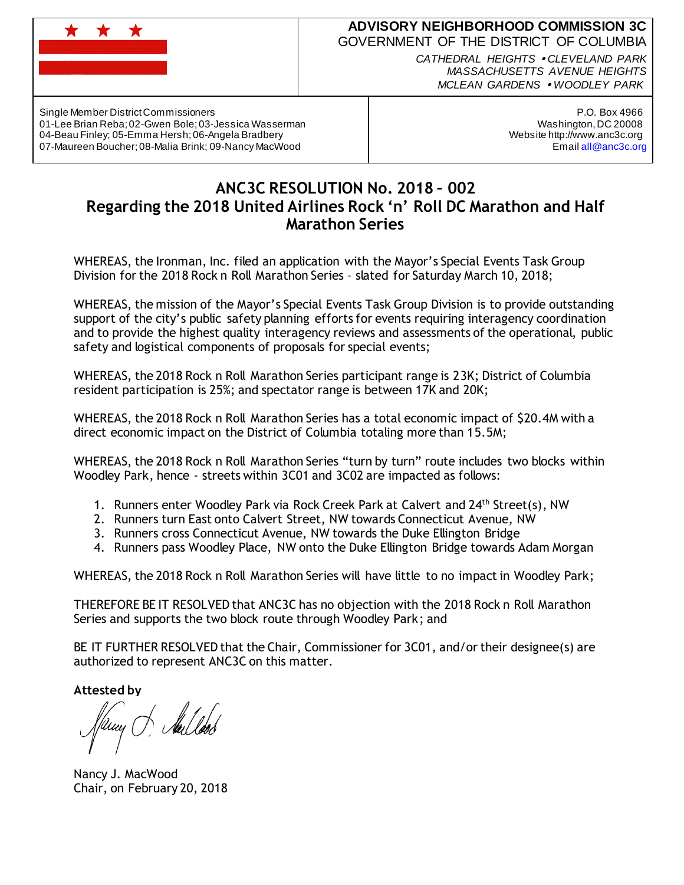

## **ADVISORY NEIGHBORHOOD COMMISSION 3C** GOVERNMENT OF THE DISTRICT OF COLUMBIA

*CATHEDRAL HEIGHTS CLEVELAND PARK MASSACHUSETTS AVENUE HEIGHTS MCLEAN GARDENS WOODLEY PARK*

Single Member District Commissioners 01-Lee Brian Reba; 02-Gwen Bole; 03-Jessica Wasserman 04-Beau Finley; 05-Emma Hersh; 06-Angela Bradbery 07-Maureen Boucher; 08-Malia Brink; 09-Nancy MacWood

P.O. Box 4966 Washington, DC 20008 Website http://www.anc3c.org Email all@anc3c.org

## **ANC3C RESOLUTION No. 2018 – 002 Regarding the 2018 United Airlines Rock 'n' Roll DC Marathon and Half Marathon Series**

WHEREAS, the Ironman, Inc. filed an application with the Mayor's Special Events Task Group Division for the 2018 Rock n Roll Marathon Series – slated for Saturday March 10, 2018;

WHEREAS, the mission of the Mayor's Special Events Task Group Division is to provide outstanding support of the city's public safety planning efforts for events requiring interagency coordination and to provide the highest quality interagency reviews and assessments of the operational, public safety and logistical components of proposals for special events;

WHEREAS, the 2018 Rock n Roll Marathon Series participant range is 23K; District of Columbia resident participation is 25%; and spectator range is between 17K and 20K;

WHEREAS, the 2018 Rock n Roll Marathon Series has a total economic impact of \$20.4M with a direct economic impact on the District of Columbia totaling more than 15.5M;

WHEREAS, the 2018 Rock n Roll Marathon Series "turn by turn" route includes two blocks within Woodley Park, hence - streets within 3C01 and 3C02 are impacted as follows:

- 1. Runners enter Woodley Park via Rock Creek Park at Calvert and 24th Street(s), NW
- 2. Runners turn East onto Calvert Street, NW towards Connecticut Avenue, NW
- 3. Runners cross Connecticut Avenue, NW towards the Duke Ellington Bridge
- 4. Runners pass Woodley Place, NW onto the Duke Ellington Bridge towards Adam Morgan

WHEREAS, the 2018 Rock n Roll Marathon Series will have little to no impact in Woodley Park;

THEREFORE BE IT RESOLVED that ANC3C has no objection with the 2018 Rock n Roll Marathon Series and supports the two block route through Woodley Park; and

BE IT FURTHER RESOLVED that the Chair, Commissioner for 3C01, and/or their designee(s) are authorized to represent ANC3C on this matter.

**Attested by**

H Sailleob

Nancy J. MacWood Chair, on February 20, 2018